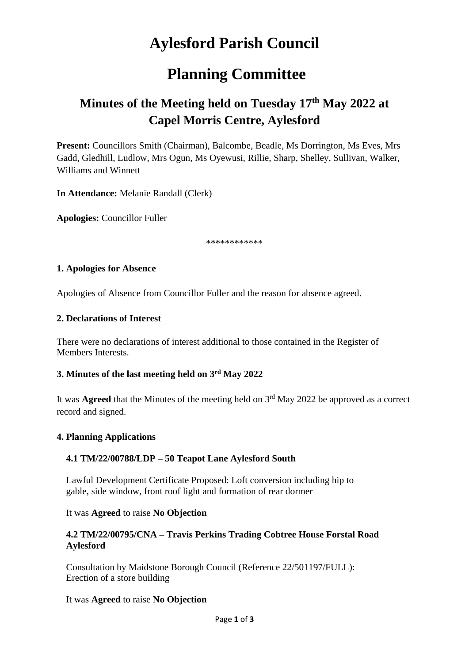# **Aylesford Parish Council**

# **Planning Committee**

# **Minutes of the Meeting held on Tuesday 17th May 2022 at Capel Morris Centre, Aylesford**

**Present:** Councillors Smith (Chairman), Balcombe, Beadle, Ms Dorrington, Ms Eves, Mrs Gadd, Gledhill, Ludlow, Mrs Ogun, Ms Oyewusi, Rillie, Sharp, Shelley, Sullivan, Walker, Williams and Winnett

**In Attendance:** Melanie Randall (Clerk)

**Apologies:** Councillor Fuller

\*\*\*\*\*\*\*\*\*\*\*\*

#### **1. Apologies for Absence**

Apologies of Absence from Councillor Fuller and the reason for absence agreed.

#### **2. Declarations of Interest**

There were no declarations of interest additional to those contained in the Register of Members Interests.

#### **3. Minutes of the last meeting held on 3 rd May 2022**

It was **Agreed** that the Minutes of the meeting held on 3<sup>rd</sup> May 2022 be approved as a correct record and signed.

#### **4. Planning Applications**

## **4.1 TM/22/00788/LDP – 50 Teapot Lane Aylesford South**

Lawful Development Certificate Proposed: Loft conversion including hip to gable, side window, front roof light and formation of rear dormer

#### It was **Agreed** to raise **No Objection**

#### **4.2 TM/22/00795/CNA – Travis Perkins Trading Cobtree House Forstal Road Aylesford**

Consultation by Maidstone Borough Council (Reference 22/501197/FULL): Erection of a store building

#### It was **Agreed** to raise **No Objection**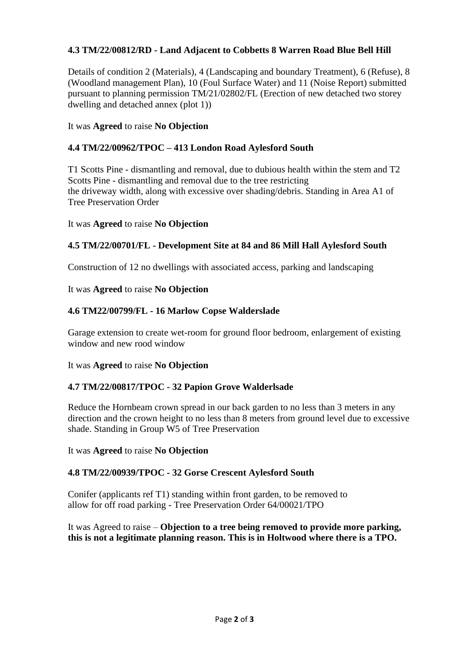# **4.3 TM/22/00812/RD - Land Adjacent to Cobbetts 8 Warren Road Blue Bell Hill**

Details of condition 2 (Materials), 4 (Landscaping and boundary Treatment), 6 (Refuse), 8 (Woodland management Plan), 10 (Foul Surface Water) and 11 (Noise Report) submitted pursuant to planning permission TM/21/02802/FL (Erection of new detached two storey dwelling and detached annex (plot 1))

# It was **Agreed** to raise **No Objection**

# **4.4 TM/22/00962/TPOC – 413 London Road Aylesford South**

T1 Scotts Pine - dismantling and removal, due to dubious health within the stem and T2 Scotts Pine - dismantling and removal due to the tree restricting the driveway width, along with excessive over shading/debris. Standing in Area A1 of Tree Preservation Order

## It was **Agreed** to raise **No Objection**

## **4.5 TM/22/00701/FL - Development Site at 84 and 86 Mill Hall Aylesford South**

Construction of 12 no dwellings with associated access, parking and landscaping

#### It was **Agreed** to raise **No Objection**

## **4.6 TM22/00799/FL - 16 Marlow Copse Walderslade**

Garage extension to create wet-room for ground floor bedroom, enlargement of existing window and new rood window

#### It was **Agreed** to raise **No Objection**

## **4.7 TM/22/00817/TPOC - 32 Papion Grove Walderlsade**

Reduce the Hornbeam crown spread in our back garden to no less than 3 meters in any direction and the crown height to no less than 8 meters from ground level due to excessive shade. Standing in Group W5 of Tree Preservation

It was **Agreed** to raise **No Objection**

#### **4.8 TM/22/00939/TPOC - 32 Gorse Crescent Aylesford South**

Conifer (applicants ref T1) standing within front garden, to be removed to allow for off road parking - Tree Preservation Order 64/00021/TPO

It was Agreed to raise – **Objection to a tree being removed to provide more parking, this is not a legitimate planning reason. This is in Holtwood where there is a TPO.**